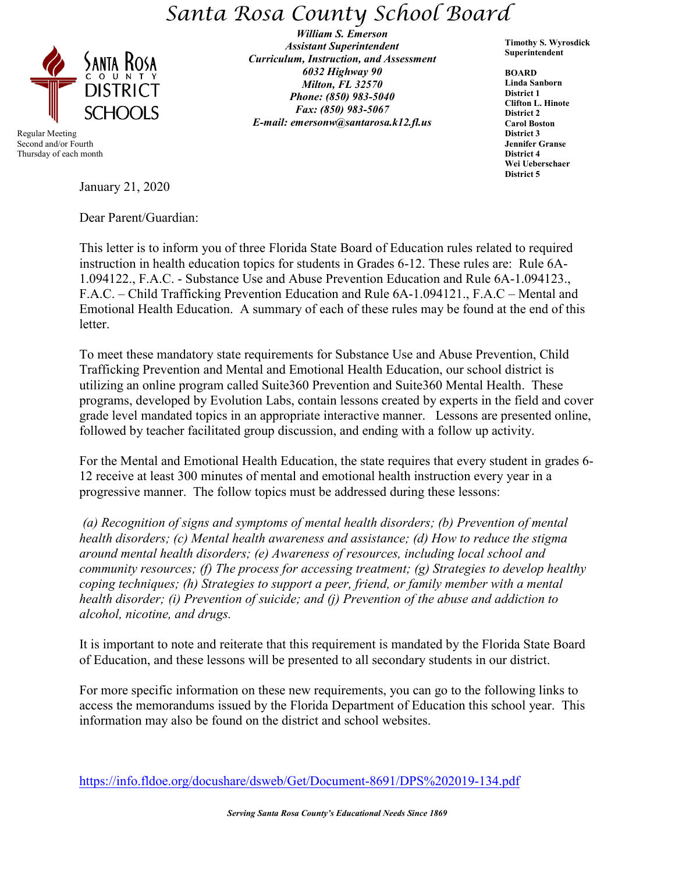## *Santa Rosa County School Board*



 Regular Meeting Second and/or Fourth Thursday of each month

*William S. Emerson Assistant Superintendent Curriculum, Instruction, and Assessment 6032 Highway 90 Milton, FL 32570 Phone: (850) 983-5040 Fax: (850) 983-5067 E-mail: emersonw@santarosa.k12.fl.us*

**Timothy S. Wyrosdick Superintendent** 

**BOARD Linda Sanborn District 1 Clifton L. Hinote District 2 Carol Boston District 3 Jennifer Granse District 4 Wei Ueberschaer District 5**

January 21, 2020

Dear Parent/Guardian:

This letter is to inform you of three Florida State Board of Education rules related to required instruction in health education topics for students in Grades 6-12. These rules are: Rule 6A-1.094122., F.A.C. - Substance Use and Abuse Prevention Education and Rule 6A-1.094123., F.A.C. – Child Trafficking Prevention Education and Rule 6A-1.094121., F.A.C – Mental and Emotional Health Education. A summary of each of these rules may be found at the end of this letter.

To meet these mandatory state requirements for Substance Use and Abuse Prevention, Child Trafficking Prevention and Mental and Emotional Health Education, our school district is utilizing an online program called Suite360 Prevention and Suite360 Mental Health. These programs, developed by Evolution Labs, contain lessons created by experts in the field and cover grade level mandated topics in an appropriate interactive manner. Lessons are presented online, followed by teacher facilitated group discussion, and ending with a follow up activity.

For the Mental and Emotional Health Education, the state requires that every student in grades 6- 12 receive at least 300 minutes of mental and emotional health instruction every year in a progressive manner. The follow topics must be addressed during these lessons:

*(a) Recognition of signs and symptoms of mental health disorders; (b) Prevention of mental health disorders; (c) Mental health awareness and assistance; (d) How to reduce the stigma around mental health disorders; (e) Awareness of resources, including local school and community resources; (f) The process for accessing treatment; (g) Strategies to develop healthy coping techniques; (h) Strategies to support a peer, friend, or family member with a mental health disorder; (i) Prevention of suicide; and (j) Prevention of the abuse and addiction to alcohol, nicotine, and drugs.*

It is important to note and reiterate that this requirement is mandated by the Florida State Board of Education, and these lessons will be presented to all secondary students in our district.

For more specific information on these new requirements, you can go to the following links to access the memorandums issued by the Florida Department of Education this school year. This information may also be found on the district and school websites.

<https://info.fldoe.org/docushare/dsweb/Get/Document-8691/DPS%202019-134.pdf>